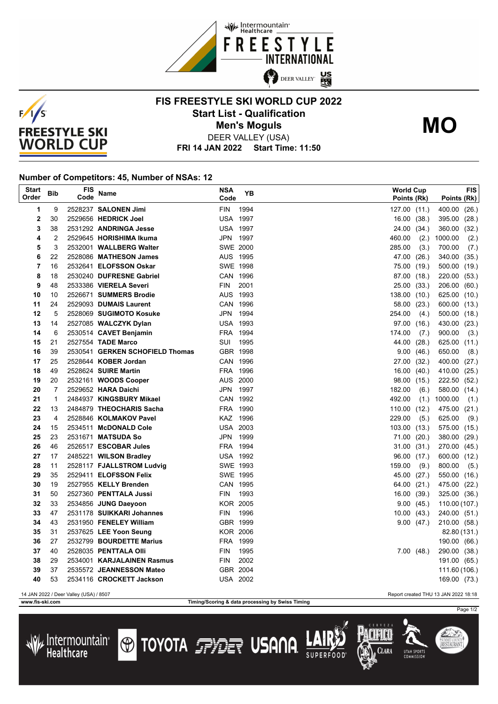



## **FIS FREESTYLE SKI WORLD CUP 2022 Start List - Qualification Men's Moguls MO**



DEER VALLEY (USA)

**FRI 14 JAN 2022 Start Time: 11:50**

## **Number of Competitors: 45, Number of NSAs: 12**

| <b>Start</b><br>Order                                                          | Bib            | FIS<br>Code | <b>Name</b>                                 | <b>NSA</b><br>Code          | YB   | <b>World Cup</b><br>Points (Rk) |             | <b>FIS</b><br>Points (Rk) |       |
|--------------------------------------------------------------------------------|----------------|-------------|---------------------------------------------|-----------------------------|------|---------------------------------|-------------|---------------------------|-------|
| 1                                                                              | 9              |             | 2528237 SALONEN Jimi                        | <b>FIN</b>                  | 1994 | 127.00 (11.)                    |             | 400.00                    | (26.) |
| 2                                                                              | 30             |             | 2529656 HEDRICK Joel                        | <b>USA 1997</b>             |      |                                 | 16.00(38.)  | 395.00                    | (28.) |
| 3                                                                              | 38             |             | 2531292 ANDRINGA Jesse                      | <b>USA 1997</b>             |      | 24.00                           | (34.)       | 360.00                    | (32.) |
| 4                                                                              | 2              |             | 2529645 HORISHIMA Ikuma                     | JPN 1997                    |      | 460.00                          | (2.)        | 1000.00                   | (2.)  |
| 5                                                                              | 3              |             | 2532001 WALLBERG Walter                     | <b>SWE 2000</b>             |      | 285.00                          | (3.)        | 700.00                    | (7.)  |
| 6                                                                              | 22             |             | 2528086 MATHESON James                      | AUS 1995                    |      | 47.00 (26.)                     |             | 340.00 (35.)              |       |
| 7                                                                              | 16             |             | 2532641 ELOFSSON Oskar                      | SWE 1998                    |      | 75.00 (19.)                     |             | 500.00                    | (19.) |
| 8                                                                              | 18             |             | 2530240 DUFRESNE Gabriel                    | CAN 1996                    |      | 87.00 (18.)                     |             | 220.00 (53.)              |       |
| 9                                                                              | 48             |             | 2533386 VIERELA Severi                      | <b>FIN</b>                  | 2001 |                                 | 25.00 (33.) | 206.00 (60.)              |       |
| 10                                                                             | 10             |             | 2526671 SUMMERS Brodie                      | AUS 1993                    |      | 138.00                          | (10.)       | 625.00 (10.)              |       |
| 11                                                                             | 24             |             | 2529093 DUMAIS Laurent                      | CAN 1996                    |      | 58.00 (23.)                     |             | 600.00 (13.)              |       |
| 12                                                                             | 5              |             | 2528069 SUGIMOTO Kosuke                     | JPN 1994                    |      | 254.00                          | (4.)        | 500.00 (18.)              |       |
| 13                                                                             | 14             |             | 2527085 WALCZYK Dylan                       | <b>USA 1993</b>             |      | 97.00 (16.)                     |             | 430.00 (23.)              |       |
| 14                                                                             | 6              |             | 2530514 CAVET Benjamin                      | FRA 1994                    |      | 174.00                          | (7.)        | 900.00                    | (3.)  |
| 15                                                                             | 21             |             | 2527554 TADE Marco                          | SUI 1995                    |      | 44.00 (28.)                     |             | 625.00 (11.)              |       |
| 16                                                                             | 39             |             | 2530541 GERKEN SCHOFIELD Thomas             | GBR 1998                    |      |                                 | 9.00(46.)   | 650.00                    | (8.)  |
| 17                                                                             | 25             |             | 2528644 KOBER Jordan                        | CAN 1996                    |      | 27.00                           | (32.)       | 400.00                    | (27.) |
| 18                                                                             | 49             |             | 2528624 SUIRE Martin                        | FRA 1996                    |      | 16.00                           | (40.)       | 410.00                    | (25.) |
| 19                                                                             | 20             |             | 2532161 WOODS Cooper                        | AUS 2000                    |      | 98.00 (15.)                     |             | 222.50 (52.)              |       |
| 20                                                                             | $\overline{7}$ |             | 2529652 HARA Daichi                         | JPN 1997                    |      | 182.00                          | (6.)        | 580.00 (14.)              |       |
| 21                                                                             | $\mathbf{1}$   |             | 2484937 KINGSBURY Mikael                    | CAN 1992                    |      | 492.00                          | (1.)        | 1000.00                   | (1.)  |
| 22                                                                             | 13             |             | 2484879 THEOCHARIS Sacha                    | FRA 1990                    |      | 110.00(12.)                     |             | 475.00 (21.)              |       |
| 23<br>24                                                                       | 4<br>15        |             | 2528846 KOLMAKOV Pavel                      | KAZ 1996                    |      | 229.00                          | (5.)        | 625.00                    | (9.)  |
| 25                                                                             | 23             |             | 2534511 McDONALD Cole<br>2531671 MATSUDA So | <b>USA 2003</b><br>JPN 1999 |      | 103.00 (13.)<br>71.00           | (20.)       | 575.00 (15.)<br>380.00    | (29.) |
| 26                                                                             | 46             |             | 2526517 ESCOBAR Jules                       | FRA 1994                    |      |                                 | 31.00(31.)  | 270.00 (45.)              |       |
| 27                                                                             | 17             |             | 2485221 WILSON Bradley                      | USA 1992                    |      | 96.00                           | (17.)       | 600.00 (12.)              |       |
| 28                                                                             | 11             |             | 2528117 FJALLSTROM Ludvig                   | SWE 1993                    |      | 159.00                          | (9.)        | 800.00                    | (5.)  |
| 29                                                                             | 35             |             | 2529411 ELOFSSON Felix                      | SWE 1995                    |      | 45.00                           | (27.)       | 550.00 (16.)              |       |
| 30                                                                             | 19             |             | 2527955 KELLY Brenden                       | CAN 1995                    |      | 64.00 (21.)                     |             | 475.00 (22.)              |       |
| 31                                                                             | 50             |             | 2527360 PENTTALA Jussi                      | <b>FIN</b>                  | 1993 |                                 | 16.00(39.)  | 325.00 (36.)              |       |
| 32                                                                             | 33             |             | 2534856 JUNG Daeyoon                        | <b>KOR 2005</b>             |      | 9.00                            | (45.)       | 110.00 (107.)             |       |
| 33                                                                             | 47             |             | 2531178 SUIKKARI Johannes                   | <b>FIN</b>                  | 1996 |                                 | 10.00(43)   | 240.00 (51.)              |       |
| 34                                                                             | 43             |             | 2531950 FENELEY William                     | GBR 1999                    |      |                                 | 9.00(47.)   | 210.00 (58.)              |       |
| 35                                                                             | 31             |             | 2537625 LEE Yoon Seung                      | <b>KOR 2006</b>             |      |                                 |             | 82.80 (131.)              |       |
| 36                                                                             | 27             |             | 2532799 BOURDETTE Marius                    | FRA 1999                    |      |                                 |             | 190.00 (66.)              |       |
| 37                                                                             | 40             |             | 2528035 PENTTALA Olli                       | FIN                         | 1995 |                                 | 7.00(48.)   | 290.00 (38.)              |       |
| 38                                                                             | 29             |             | 2534001 KARJALAINEN Rasmus                  | FIN                         | 2002 |                                 |             | 191.00 (65.)              |       |
| 39                                                                             | 37             |             | 2535572 JEANNESSON Mateo                    | GBR 2004                    |      |                                 |             | 111.60 (106.)             |       |
| 40                                                                             | 53             |             | 2534116 CROCKETT Jackson                    | <b>USA 2002</b>             |      |                                 |             | 169.00 (73.)              |       |
| 14 JAN 2022 / Deer Valley (USA) / 8507<br>Report created THU 13 JAN 2022 18:18 |                |             |                                             |                             |      |                                 |             |                           |       |

 $\mu$ Intermountain<sup>®</sup>

Healthcare

**www.fis-ski.com Timing/Scoring & data processing by Swiss Timing**

**TOYOTA FILE USANA** 



SUMMIT COUNT<br>**RESTAURAN**T

Clara

**IITAH SPORT**